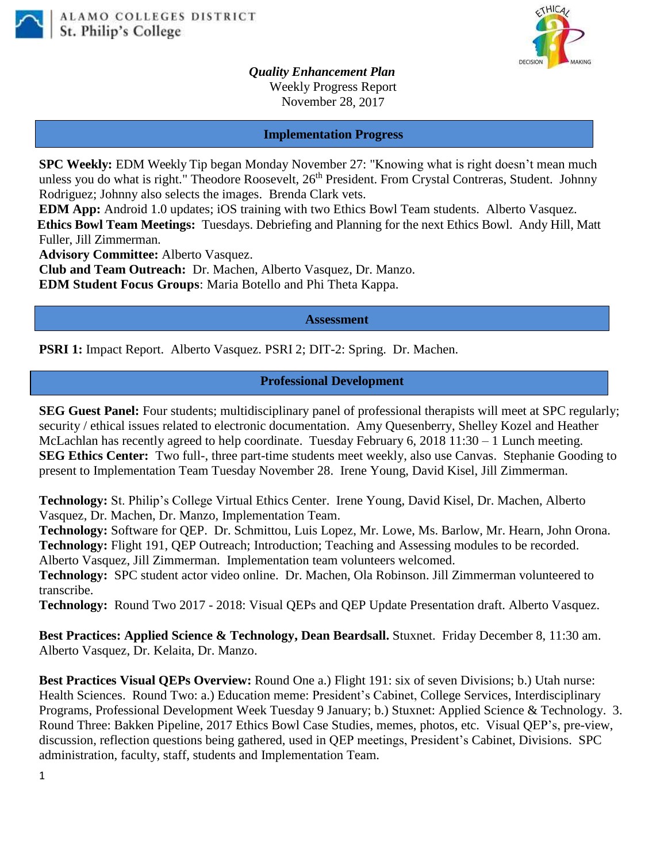



*Quality Enhancement Plan* Weekly Progress Report November 28, 2017

## **Implementation Progress**

**SPC Weekly:** EDM Weekly Tip began Monday November 27: "Knowing what is right doesn't mean much unless you do what is right." Theodore Roosevelt, 26<sup>th</sup> President. From Crystal Contreras, Student. Johnny Rodriguez; Johnny also selects the images. Brenda Clark vets.

**EDM App:** Android 1.0 updates; iOS training with two Ethics Bowl Team students. Alberto Vasquez.

**Ethics Bowl Team Meetings:** Tuesdays. Debriefing and Planning for the next Ethics Bowl.Andy Hill, Matt Fuller, Jill Zimmerman.

**Advisory Committee:** Alberto Vasquez.

**Club and Team Outreach:** Dr. Machen, Alberto Vasquez, Dr. Manzo.

**EDM Student Focus Groups**: Maria Botello and Phi Theta Kappa.

## **Assessment**

**PSRI 1:** Impact Report. Alberto Vasquez. PSRI 2; DIT-2: Spring. Dr. Machen.

## **Professional Development**

**SEG Guest Panel:** Four students; multidisciplinary panel of professional therapists will meet at SPC regularly; security / ethical issues related to electronic documentation. Amy Quesenberry, Shelley Kozel and Heather McLachlan has recently agreed to help coordinate. Tuesday February 6, 2018 11:30 – 1 Lunch meeting. **SEG Ethics Center:** Two full-, three part-time students meet weekly, also use Canvas. Stephanie Gooding to present to Implementation Team Tuesday November 28. Irene Young, David Kisel, Jill Zimmerman.

**Technology:** St. Philip's College Virtual Ethics Center. Irene Young, David Kisel, Dr. Machen, Alberto Vasquez, Dr. Machen, Dr. Manzo, Implementation Team.

**Technology:** Software for QEP. Dr. Schmittou, Luis Lopez, Mr. Lowe, Ms. Barlow, Mr. Hearn, John Orona. **Technology:** Flight 191, QEP Outreach; Introduction; Teaching and Assessing modules to be recorded. Alberto Vasquez, Jill Zimmerman. Implementation team volunteers welcomed.

**Technology:** SPC student actor video online. Dr. Machen, Ola Robinson. Jill Zimmerman volunteered to transcribe.

**Technology:** Round Two 2017 - 2018: Visual QEPs and QEP Update Presentation draft. Alberto Vasquez.

**Best Practices: Applied Science & Technology, Dean Beardsall.** Stuxnet. Friday December 8, 11:30 am. Alberto Vasquez, Dr. Kelaita, Dr. Manzo.

**Best Practices Visual QEPs Overview:** Round One a.) Flight 191: six of seven Divisions; b.) Utah nurse: Health Sciences. Round Two: a.) Education meme: President's Cabinet, College Services, Interdisciplinary Programs, Professional Development Week Tuesday 9 January; b.) Stuxnet: Applied Science & Technology. 3. Round Three: Bakken Pipeline, 2017 Ethics Bowl Case Studies, memes, photos, etc. Visual QEP's, pre-view, discussion, reflection questions being gathered, used in QEP meetings, President's Cabinet, Divisions. SPC administration, faculty, staff, students and Implementation Team.